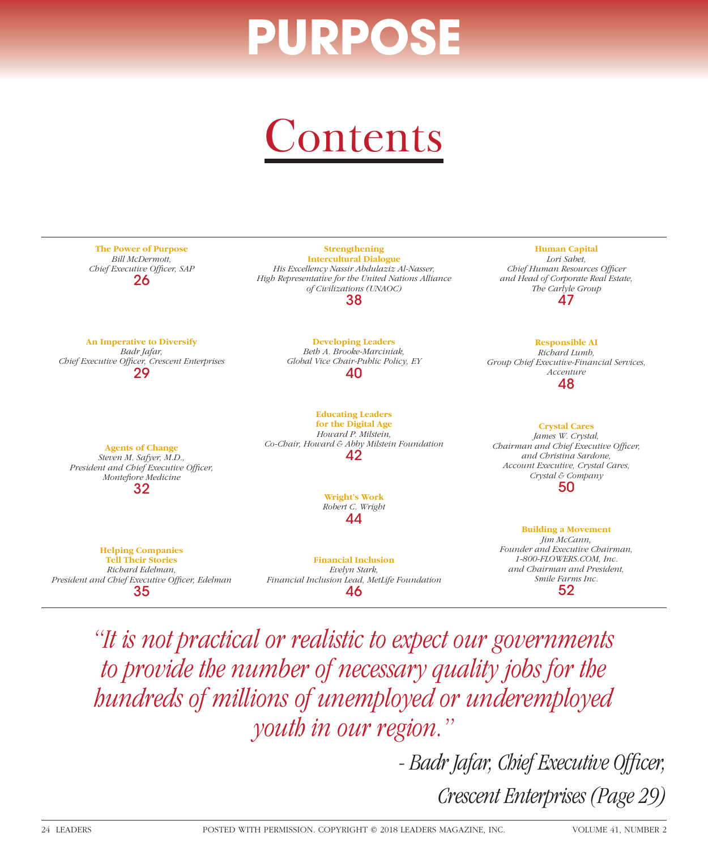## PURPOS





President and Chief Executive Officer, Edelman 35

*Financial Inclusion Lead, MetLife Foundation*  46

*Smile Farms Inc.*  52

*"It is not practical or realistic to expect our governments to provide the number of necessary quality jobs for the hundreds of millions of unemployed or underemployed youth in our region."* 

> - Badr Jafar, Chief Executive Officer, *Crescent Enterprises (Page 29)*